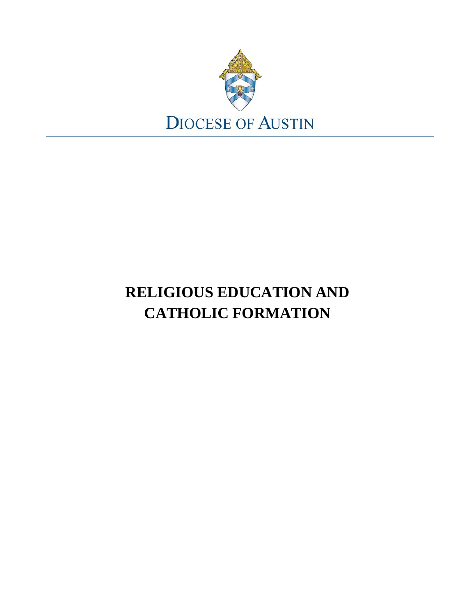

## **RELIGIOUS EDUCATION AND CATHOLIC FORMATION**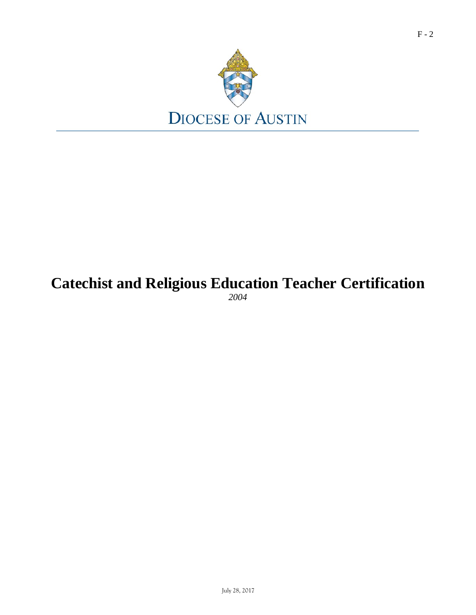

# **Catechist and Religious Education Teacher Certification**

*2004*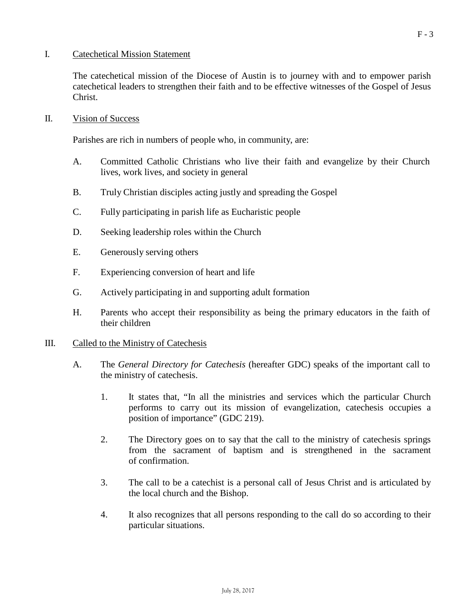#### I. Catechetical Mission Statement

The catechetical mission of the Diocese of Austin is to journey with and to empower parish catechetical leaders to strengthen their faith and to be effective witnesses of the Gospel of Jesus Christ.

#### II. Vision of Success

Parishes are rich in numbers of people who, in community, are:

- A. Committed Catholic Christians who live their faith and evangelize by their Church lives, work lives, and society in general
- B. Truly Christian disciples acting justly and spreading the Gospel
- C. Fully participating in parish life as Eucharistic people
- D. Seeking leadership roles within the Church
- E. Generously serving others
- F. Experiencing conversion of heart and life
- G. Actively participating in and supporting adult formation
- H. Parents who accept their responsibility as being the primary educators in the faith of their children

#### III. Called to the Ministry of Catechesis

- A. The *General Directory for Catechesis* (hereafter GDC) speaks of the important call to the ministry of catechesis.
	- 1. It states that, "In all the ministries and services which the particular Church performs to carry out its mission of evangelization, catechesis occupies a position of importance" (GDC 219).
	- 2. The Directory goes on to say that the call to the ministry of catechesis springs from the sacrament of baptism and is strengthened in the sacrament of confirmation.
	- 3. The call to be a catechist is a personal call of Jesus Christ and is articulated by the local church and the Bishop.
	- 4. It also recognizes that all persons responding to the call do so according to their particular situations.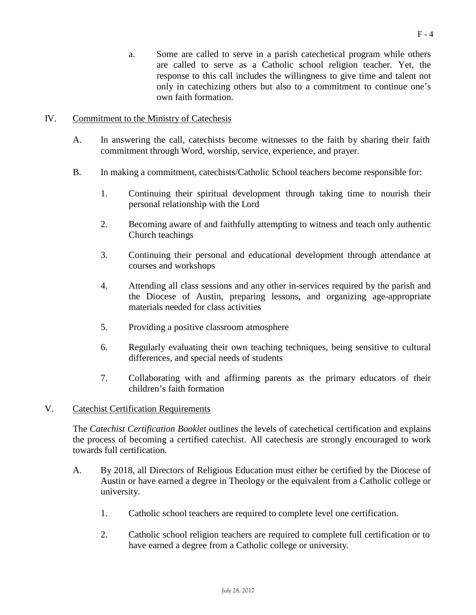a. Some are called to serve in a parish catechetical program while others are called to serve as a Catholic school religion teacher. Yet, the response to this call includes the willingness to give time and talent not only in catechizing others but also to a commitment to continue one's own faith formation.

#### IV. Commitment to the Ministry of Catechesis

- A. In answering the call, catechists become witnesses to the faith by sharing their faith commitment through Word, worship, service, experience, and prayer.
- B. In making a commitment, catechists/Catholic School teachers become responsible for:
	- 1. Continuing their spiritual development through taking time to nourish their personal relationship with the Lord
	- 2. Becoming aware of and faithfully attempting to witness and teach only authentic Church teachings
	- 3. Continuing their personal and educational development through attendance at courses and workshops
	- 4. Attending all class sessions and any other in-services required by the parish and the Diocese of Austin, preparing lessons, and organizing age-appropriate materials needed for class activities
	- 5. Providing a positive classroom atmosphere
	- 6. Regularly evaluating their own teaching techniques, being sensitive to cultural differences, and special needs of students
	- 7. Collaborating with and affirming parents as the primary educators of their children's faith formation

#### V. Catechist Certification Requirements

The *Catechist Certification Booklet* outlines the levels of catechetical certification and explains the process of becoming a certified catechist. All catechesis are strongly encouraged to work towards full certification.

- A. By 2018, all Directors of Religious Education must either be certified by the Diocese of Austin or have earned a degree in Theology or the equivalent from a Catholic college or university.
	- 1. Catholic school teachers are required to complete level one certification.
	- 2. Catholic school religion teachers are required to complete full certification or to have earned a degree from a Catholic college or university.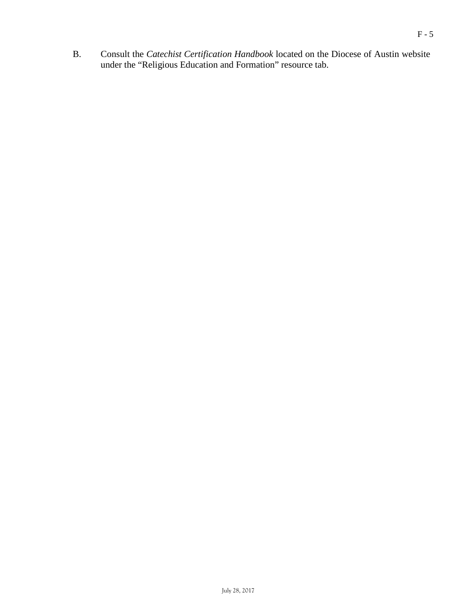B. Consult the *Catechist Certification Handbook* located on the Diocese of Austin website under the "Religious Education and Formation" resource tab.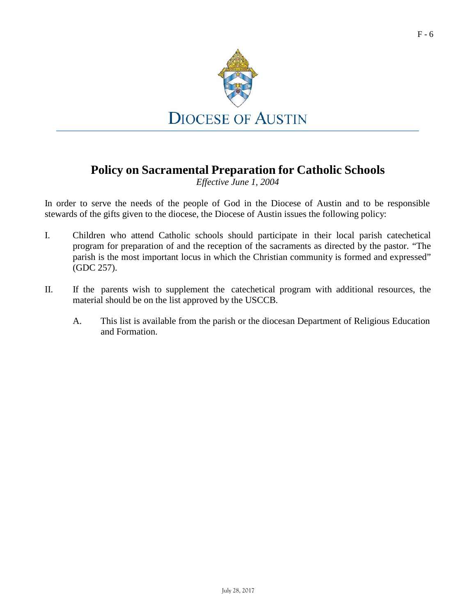

### **Policy on Sacramental Preparation for Catholic Schools**

*Effective June 1, 2004*

- I. Children who attend Catholic schools should participate in their local parish catechetical program for preparation of and the reception of the sacraments as directed by the pastor. "The parish is the most important locus in which the Christian community is formed and expressed" (GDC 257).
- II. If the parents wish to supplement the catechetical program with additional resources, the material should be on the list approved by the USCCB.
	- A. This list is available from the parish or the diocesan Department of Religious Education and Formation.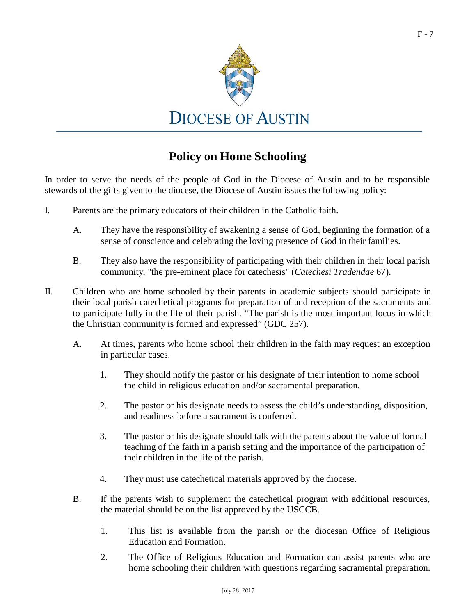

### **Policy on Home Schooling**

- I. Parents are the primary educators of their children in the Catholic faith.
	- A. They have the responsibility of awakening a sense of God, beginning the formation of a sense of conscience and celebrating the loving presence of God in their families.
	- B. They also have the responsibility of participating with their children in their local parish community, "the pre-eminent place for catechesis" (*Catechesi Tradendae* 67).
- II. Children who are home schooled by their parents in academic subjects should participate in their local parish catechetical programs for preparation of and reception of the sacraments and to participate fully in the life of their parish. "The parish is the most important locus in which the Christian community is formed and expressed" (GDC 257).
	- A. At times, parents who home school their children in the faith may request an exception in particular cases.
		- 1. They should notify the pastor or his designate of their intention to home school the child in religious education and/or sacramental preparation.
		- 2. The pastor or his designate needs to assess the child's understanding, disposition, and readiness before a sacrament is conferred.
		- 3. The pastor or his designate should talk with the parents about the value of formal teaching of the faith in a parish setting and the importance of the participation of their children in the life of the parish.
		- 4. They must use catechetical materials approved by the diocese.
	- B. If the parents wish to supplement the catechetical program with additional resources, the material should be on the list approved by the USCCB.
		- 1. This list is available from the parish or the diocesan Office of Religious Education and Formation.
		- 2. The Office of Religious Education and Formation can assist parents who are home schooling their children with questions regarding sacramental preparation.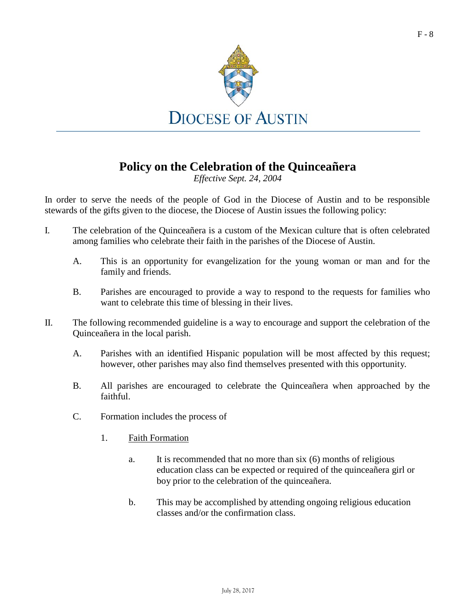

### **Policy on the Celebration of the Quinceañera**

*Effective Sept. 24, 2004*

- I. The celebration of the Quinceañera is a custom of the Mexican culture that is often celebrated among families who celebrate their faith in the parishes of the Diocese of Austin.
	- A. This is an opportunity for evangelization for the young woman or man and for the family and friends.
	- B. Parishes are encouraged to provide a way to respond to the requests for families who want to celebrate this time of blessing in their lives.
- II. The following recommended guideline is a way to encourage and support the celebration of the Quinceañera in the local parish.
	- A. Parishes with an identified Hispanic population will be most affected by this request; however, other parishes may also find themselves presented with this opportunity.
	- B. All parishes are encouraged to celebrate the Quinceañera when approached by the faithful.
	- C. Formation includes the process of
		- 1. Faith Formation
			- a. It is recommended that no more than six (6) months of religious education class can be expected or required of the quinceañera girl or boy prior to the celebration of the quinceañera.
			- b. This may be accomplished by attending ongoing religious education classes and/or the confirmation class.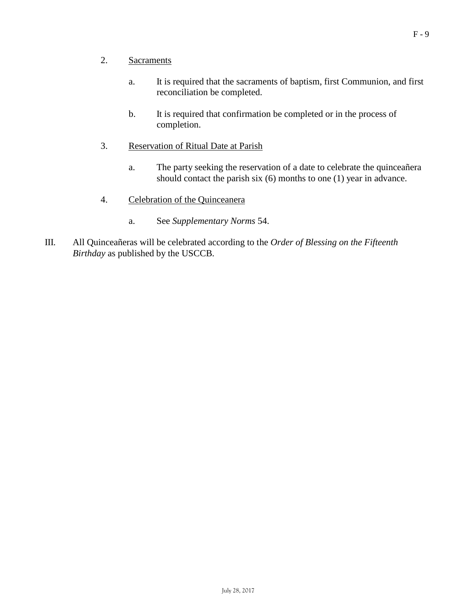- 2. Sacraments
	- a. It is required that the sacraments of baptism, first Communion, and first reconciliation be completed.
	- b. It is required that confirmation be completed or in the process of completion.
- 3. Reservation of Ritual Date at Parish
	- a. The party seeking the reservation of a date to celebrate the quinceañera should contact the parish six (6) months to one (1) year in advance.
- 4. Celebration of the Quinceanera
	- a. See *Supplementary Norms* 54.
- III. All Quinceañeras will be celebrated according to the *Order of Blessing on the Fifteenth Birthday* as published by the USCCB.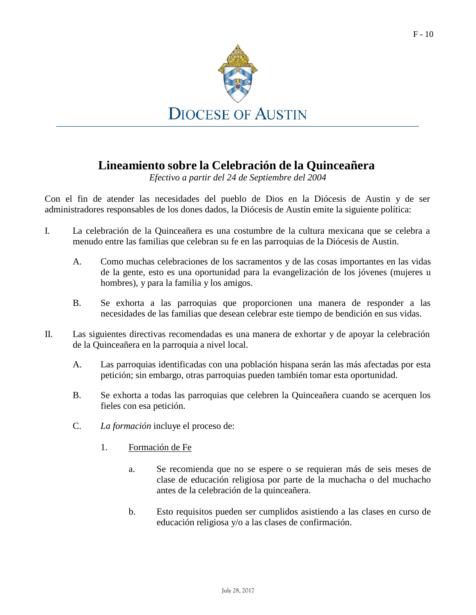

### **Lineamiento sobre la Celebración de la Quinceañera**

*Efectivo a partir del 24 de Septiembre del 2004*

Con el fin de atender las necesidades del pueblo de Dios en la Diócesis de Austin y de ser administradores responsables de los dones dados, la Diócesis de Austin emite la siguiente política:

- I. La celebración de la Quinceañera es una costumbre de la cultura mexicana que se celebra a menudo entre las familias que celebran su fe en las parroquias de la Diócesis de Austin.
	- A. Como muchas celebraciones de los sacramentos y de las cosas importantes en las vidas de la gente, esto es una oportunidad para la evangelización de los jóvenes (mujeres u hombres), y para la familia y los amigos.
	- B. Se exhorta a las parroquias que proporcionen una manera de responder a las necesidades de las familias que desean celebrar este tiempo de bendición en sus vidas.
- II. Las siguientes directivas recomendadas es una manera de exhortar y de apoyar la celebración de la Quinceañera en la parroquia a nivel local.
	- A. Las parroquias identificadas con una población hispana serán las más afectadas por esta petición; sin embargo, otras parroquias pueden también tomar esta oportunidad.
	- B. Se exhorta a todas las parroquias que celebren la Quinceañera cuando se acerquen los fieles con esa petición.
	- C. *La formación* incluye el proceso de:
		- 1. Formación de Fe
			- a. Se recomienda que no se espere o se requieran más de seis meses de clase de educación religiosa por parte de la muchacha o del muchacho antes de la celebración de la quinceañera.
			- b. Esto requisitos pueden ser cumplidos asistiendo a las clases en curso de educación religiosa y/o a las clases de confirmación.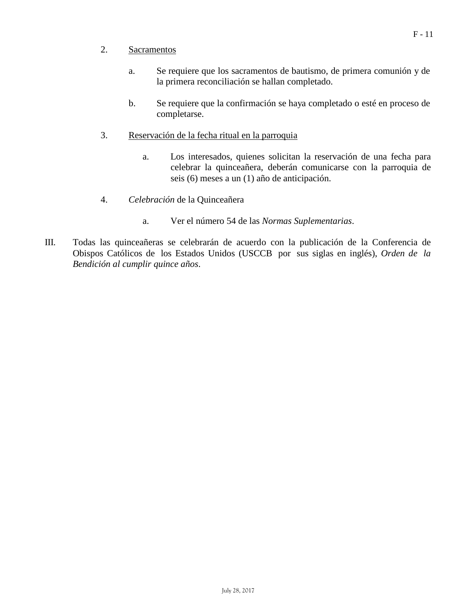#### 2. Sacramentos

- a. Se requiere que los sacramentos de bautismo, de primera comunión y de la primera reconciliación se hallan completado.
- b. Se requiere que la confirmación se haya completado o esté en proceso de completarse.
- 3. Reservación de la fecha ritual en la parroquia
	- a. Los interesados, quienes solicitan la reservación de una fecha para celebrar la quinceañera, deberán comunicarse con la parroquia de seis (6) meses a un (1) año de anticipación.
- 4. *Celebración* de la Quinceañera
	- a. Ver el número 54 de las *Normas Suplementarias*.
- III. Todas las quinceañeras se celebrarán de acuerdo con la publicación de la Conferencia de Obispos Católicos de los Estados Unidos (USCCB por sus siglas en inglés), *Orden de la Bendición al cumplir quince años*.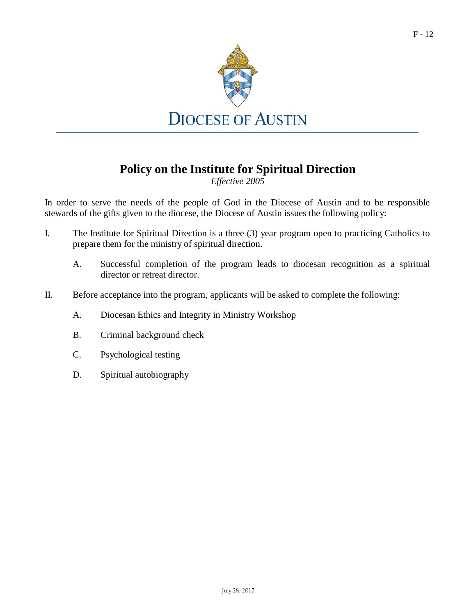

### **Policy on the Institute for Spiritual Direction**

*Effective 2005*

- I. The Institute for Spiritual Direction is a three (3) year program open to practicing Catholics to prepare them for the ministry of spiritual direction.
	- A. Successful completion of the program leads to diocesan recognition as a spiritual director or retreat director.
- II. Before acceptance into the program, applicants will be asked to complete the following:
	- A. Diocesan Ethics and Integrity in Ministry Workshop
	- B. Criminal background check
	- C. Psychological testing
	- D. Spiritual autobiography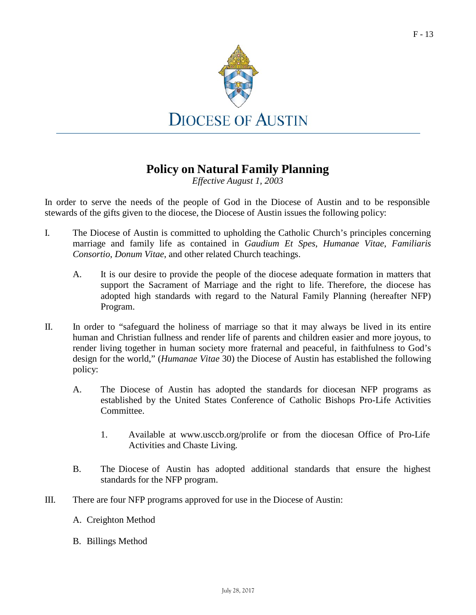

### **Policy on Natural Family Planning**

*Effective August 1, 2003*

- I. The Diocese of Austin is committed to upholding the Catholic Church's principles concerning marriage and family life as contained in *Gaudium Et Spes*, *Humanae Vitae*, *Familiaris Consortio*, *Donum Vitae*, and other related Church teachings.
	- A. It is our desire to provide the people of the diocese adequate formation in matters that support the Sacrament of Marriage and the right to life. Therefore, the diocese has adopted high standards with regard to the Natural Family Planning (hereafter NFP) Program.
- II. In order to "safeguard the holiness of marriage so that it may always be lived in its entire human and Christian fullness and render life of parents and children easier and more joyous, to render living together in human society more fraternal and peaceful, in faithfulness to God's design for the world," (*Humanae Vitae* 30) the Diocese of Austin has established the following policy:
	- A. The Diocese of Austin has adopted the standards for diocesan NFP programs as established by the United States Conference of Catholic Bishops Pro-Life Activities Committee.
		- 1. Available at [www.usccb.org/prolife](http://www.usccb.org/prolife) or from the diocesan Office of Pro-Life Activities and Chaste Living.
	- B. The Diocese of Austin has adopted additional standards that ensure the highest standards for the NFP program.
- III. There are four NFP programs approved for use in the Diocese of Austin:
	- A. Creighton Method
	- B. Billings Method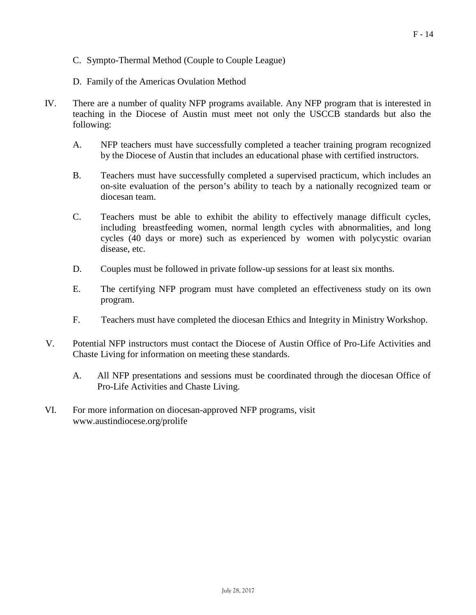- C. Sympto-Thermal Method (Couple to Couple League)
- D. Family of the Americas Ovulation Method
- IV. There are a number of quality NFP programs available. Any NFP program that is interested in teaching in the Diocese of Austin must meet not only the USCCB standards but also the following:
	- A. NFP teachers must have successfully completed a teacher training program recognized by the Diocese of Austin that includes an educational phase with certified instructors.
	- B. Teachers must have successfully completed a supervised practicum, which includes an on-site evaluation of the person's ability to teach by a nationally recognized team or diocesan team.
	- C. Teachers must be able to exhibit the ability to effectively manage difficult cycles, including breastfeeding women, normal length cycles with abnormalities, and long cycles (40 days or more) such as experienced by women with polycystic ovarian disease, etc.
	- D. Couples must be followed in private follow-up sessions for at least six months.
	- E. The certifying NFP program must have completed an effectiveness study on its own program.
	- F. Teachers must have completed the diocesan Ethics and Integrity in Ministry Workshop.
- V. Potential NFP instructors must contact the Diocese of Austin Office of Pro-Life Activities and Chaste Living for information on meeting these standards.
	- A. All NFP presentations and sessions must be coordinated through the diocesan Office of Pro-Life Activities and Chaste Living.
- VI. For more information on diocesan-approved NFP programs, visi[t](http://www.austindiocese.org/prolife) [www.austindiocese.org/prolife](http://www.austindiocese.org/prolife)